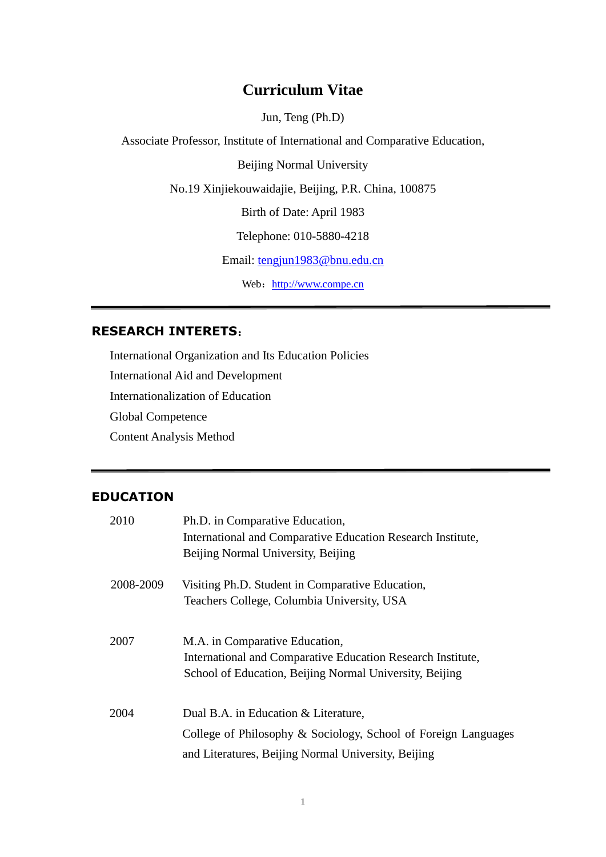# **Curriculum Vitae**

Jun, Teng (Ph.D)

Associate Professor, Institute of International and Comparative Education,

Beijing Normal University

No.19 Xinjiekouwaidajie, Beijing, P.R. China, 100875

Birth of Date: April 1983

Telephone: 010-5880-4218

Email: [tengjun1983@bnu.edu.cn](mailto:tengjun1983@bnu.edu.cn)

Web: [http://www.compe.cn](http://www.compe.cn/)

## **RESEARCH INTERETS**:

International Organization and Its Education Policies International Aid and Development Internationalization of Education Global Competence Content Analysis Method

# **EDUCATION**

| 2010      | Ph.D. in Comparative Education,                                |
|-----------|----------------------------------------------------------------|
|           | International and Comparative Education Research Institute,    |
|           | Beijing Normal University, Beijing                             |
| 2008-2009 | Visiting Ph.D. Student in Comparative Education,               |
|           | Teachers College, Columbia University, USA                     |
| 2007      | M.A. in Comparative Education,                                 |
|           | International and Comparative Education Research Institute,    |
|           | School of Education, Beijing Normal University, Beijing        |
|           |                                                                |
| 2004      | Dual B.A. in Education & Literature,                           |
|           | College of Philosophy & Sociology, School of Foreign Languages |
|           | and Literatures, Beijing Normal University, Beijing            |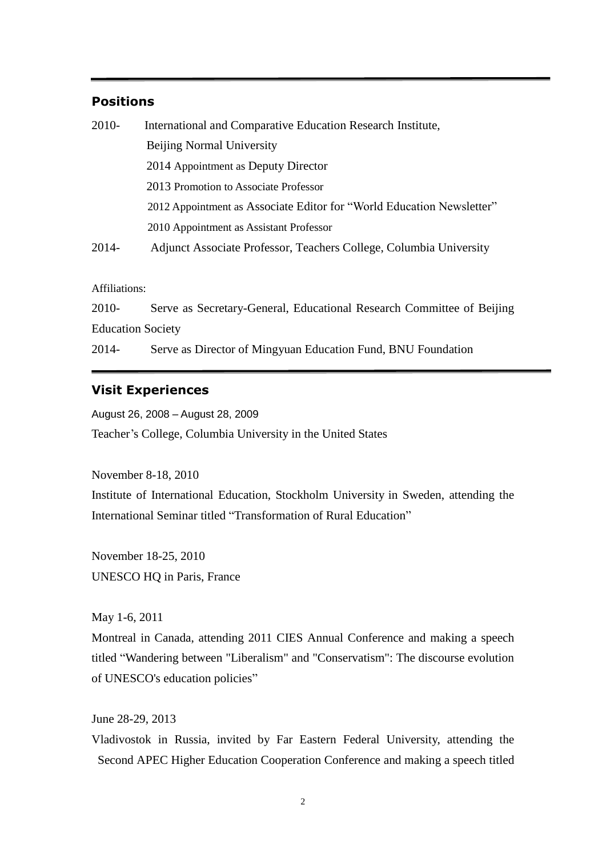### **Positions**

| $2010-$ | International and Comparative Education Research Institute,           |
|---------|-----------------------------------------------------------------------|
|         | <b>Beijing Normal University</b>                                      |
|         | 2014 Appointment as Deputy Director                                   |
|         | 2013 Promotion to Associate Professor                                 |
|         | 2012 Appointment as Associate Editor for "World Education Newsletter" |
|         | 2010 Appointment as Assistant Professor                               |
| 2014-   | Adjunct Associate Professor, Teachers College, Columbia University    |

Affiliations:

2010- Serve as Secretary-General, Educational Research Committee of Beijing Education Society

2014- Serve as Director of Mingyuan Education Fund, BNU Foundation

### **Visit Experiences**

August 26, 2008 – August 28, 2009

Teacher's College, Columbia University in the United States

November 8-18, 2010 Institute of International Education, Stockholm University in Sweden, attending the International Seminar titled "Transformation of Rural Education"

November 18-25, 2010 UNESCO HQ in Paris, France

May 1-6, 2011

Montreal in Canada, attending 2011 CIES Annual Conference and making a speech titled ―Wandering between "Liberalism" and "Conservatism": The discourse evolution of UNESCO's education policies"

June 28-29, 2013

Vladivostok in Russia, invited by Far Eastern Federal University, attending the Second APEC Higher Education Cooperation Conference and making a speech titled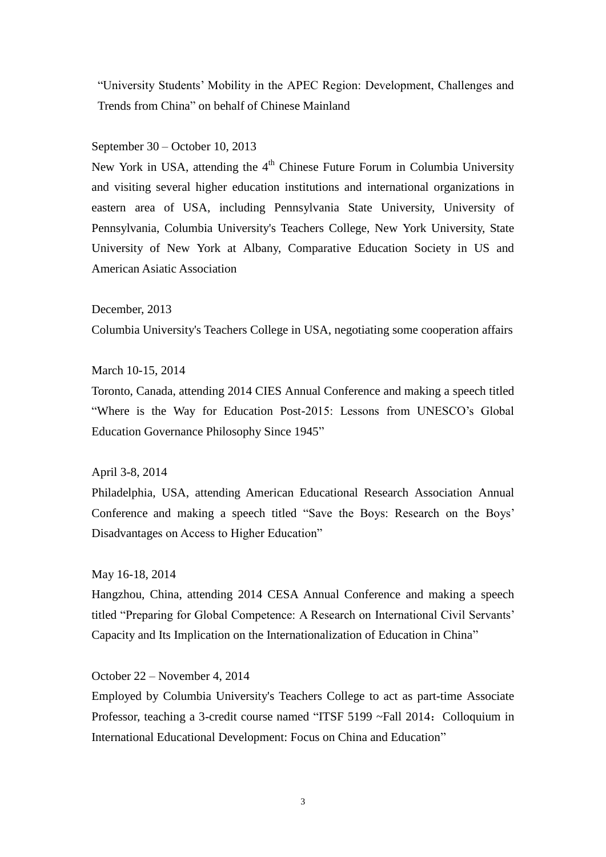―University Students' Mobility in the APEC Region: Development, Challenges and Trends from China" on behalf of Chinese Mainland

September 30 – October 10, 2013

New York in USA, attending the  $4<sup>th</sup>$  Chinese Future Forum in Columbia University and visiting several higher education institutions and international organizations in eastern area of USA, including Pennsylvania State University, University of Pennsylvania, Columbia University's Teachers College, New York University, State University of New York at Albany, Comparative Education Society in US and American Asiatic Association

December, 2013

Columbia University's Teachers College in USA, negotiating some cooperation affairs

#### March 10-15, 2014

Toronto, Canada, attending 2014 CIES Annual Conference and making a speech titled "Where is the Way for Education Post-2015: Lessons from UNESCO's Global Education Governance Philosophy Since 1945"

April 3-8, 2014

Philadelphia, USA, attending American Educational Research Association Annual Conference and making a speech titled "Save the Boys: Research on the Boys' Disadvantages on Access to Higher Education"

May 16-18, 2014

Hangzhou, China, attending 2014 CESA Annual Conference and making a speech titled "Preparing for Global Competence: A Research on International Civil Servants' Capacity and Its Implication on the Internationalization of Education in China"

October 22 – November 4, 2014

Employed by Columbia University's Teachers College to act as part-time Associate Professor, teaching a 3-credit course named "ITSF 5199 ~Fall 2014: Colloquium in International Educational Development: Focus on China and Education"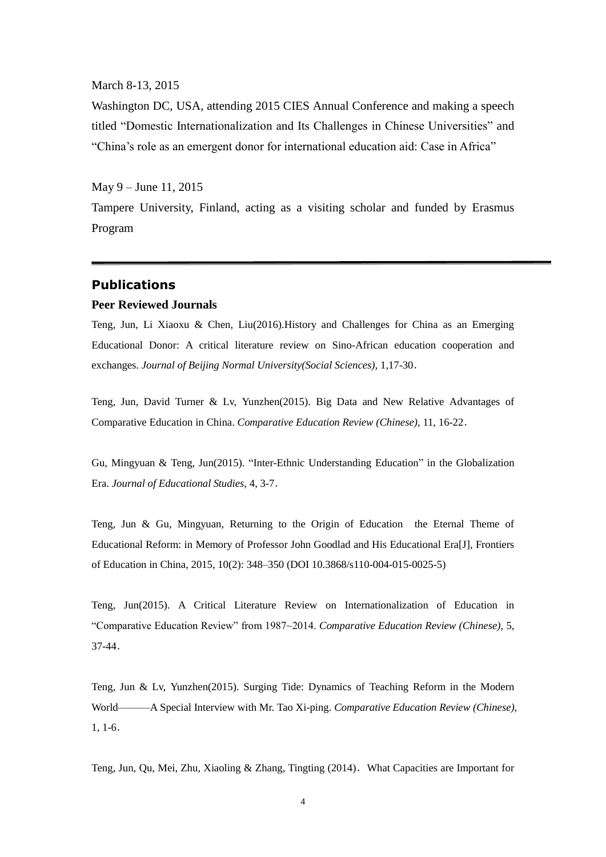March 8-13, 2015

Washington DC, USA, attending 2015 CIES Annual Conference and making a speech titled "Domestic Internationalization and Its Challenges in Chinese Universities" and "China's role as an emergent donor for international education aid: Case in Africa"

May 9 – June 11, 2015

Tampere University, Finland, acting as a visiting scholar and funded by Erasmus Program

### **Publications**

#### **Peer Reviewed Journals**

Teng, Jun, Li Xiaoxu & Chen, Liu(2016).History and Challenges for China as an Emerging Educational Donor: A critical literature review on Sino-African education cooperation and exchanges. *Journal of Beijing Normal University(Social Sciences)*, 1,17-30.

Teng, Jun, David Turner & Lv, Yunzhen(2015). Big Data and New Relative Advantages of Comparative Education in China. *Comparative Education Review (Chinese),* 11, 16-22.

Gu, Mingyuan & Teng, Jun(2015). "Inter-Ethnic Understanding Education" in the Globalization Era. *Journal of Educational Studies*, 4, 3-7.

Teng, Jun & Gu, Mingyuan, Returning to the Origin of Education the Eternal Theme of Educational Reform: in Memory of Professor John Goodlad and His Educational Era[J], Frontiers of Education in China, 2015, 10(2): 348–350 (DOI 10.3868/s110-004-015-0025-5)

Teng, Jun(2015). A Critical Literature Review on Internationalization of Education in ―Comparative Education Review‖ from 1987~2014. *Comparative Education Review (Chinese),* 5, 37-44.

Teng, Jun & Lv, Yunzhen(2015). Surging Tide: Dynamics of Teaching Reform in the Modern World———A Special Interview with Mr. Tao Xi-ping. *Comparative Education Review (Chinese),*  1, 1-6.

Teng, Jun, Qu, Mei, Zhu, Xiaoling & Zhang, Tingting (2014).What Capacities are Important for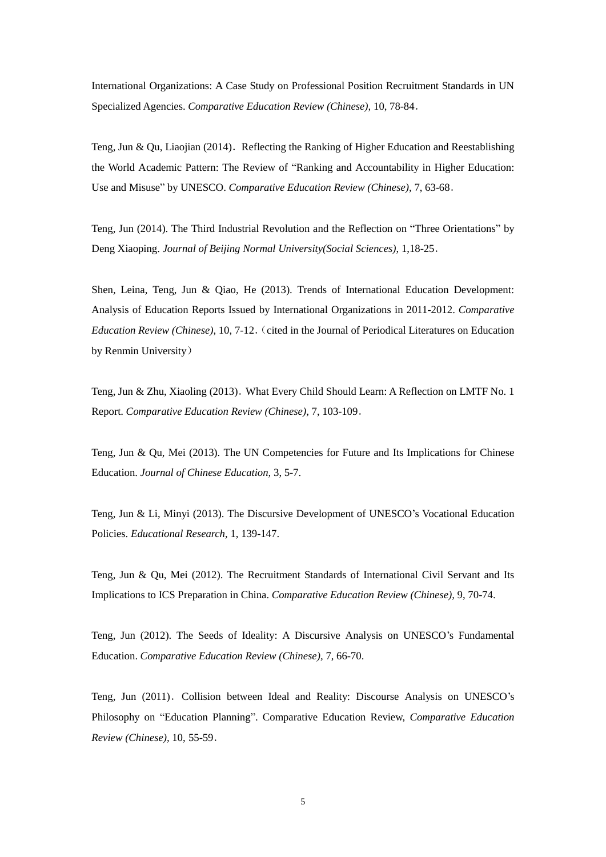International Organizations: A Case Study on Professional Position Recruitment Standards in UN Specialized Agencies. *Comparative Education Review (Chinese),* 10, 78-84.

Teng, Jun & Qu, Liaojian (2014). Reflecting the Ranking of Higher Education and Reestablishing the World Academic Pattern: The Review of "Ranking and Accountability in Higher Education: Use and Misuse" by UNESCO. *Comparative Education Review (Chinese)*, 7, 63-68.

Teng, Jun (2014). The Third Industrial Revolution and the Reflection on "Three Orientations" by Deng Xiaoping. *Journal of Beijing Normal University(Social Sciences)*, 1,18-25.

Shen, Leina, Teng, Jun & Qiao, He (2013). Trends of International Education Development: Analysis of Education Reports Issued by International Organizations in 2011-2012. *Comparative Education Review (Chinese),* 10, 7-12. (cited in the Journal of Periodical Literatures on Education by Renmin University)

Teng, Jun & Zhu, Xiaoling (2013). What Every Child Should Learn: A Reflection on LMTF No. 1 Report. *Comparative Education Review (Chinese),* 7, 103-109.

Teng, Jun & Qu, Mei (2013). The UN Competencies for Future and Its Implications for Chinese Education. *Journal of Chinese Education,* 3, 5-7.

Teng, Jun & Li, Minyi (2013). The Discursive Development of UNESCO's Vocational Education Policies. *Educational Research*, 1, 139-147.

Teng, Jun & Qu, Mei (2012). The Recruitment Standards of International Civil Servant and Its Implications to ICS Preparation in China. *Comparative Education Review (Chinese),* 9, 70-74.

Teng, Jun (2012). The Seeds of Ideality: A Discursive Analysis on UNESCO's Fundamental Education. *Comparative Education Review (Chinese),* 7, 66-70.

Teng, Jun (2011). Collision between Ideal and Reality: Discourse Analysis on UNESCO's Philosophy on "Education Planning". Comparative Education Review, *Comparative Education Review (Chinese),* 10, 55-59.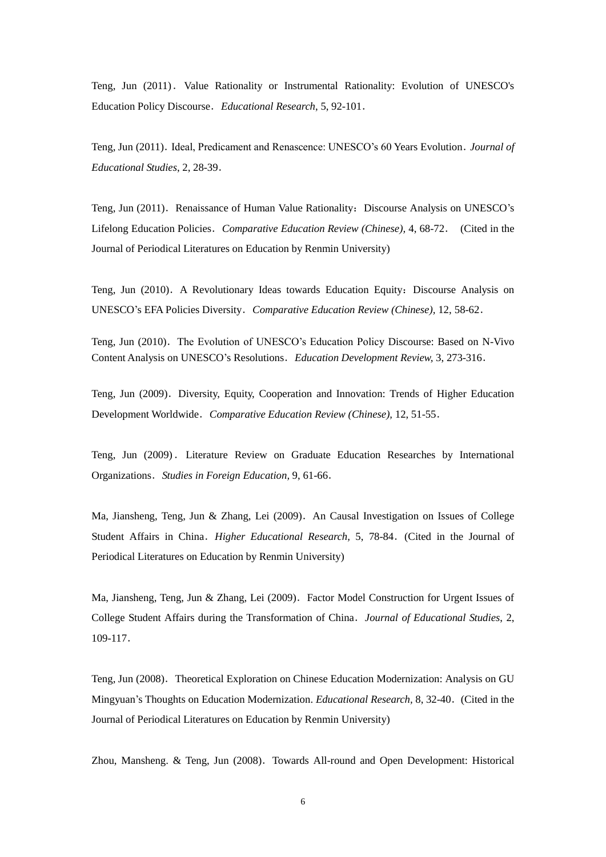Teng, Jun (2011). Value Rationality or Instrumental Rationality: Evolution of UNESCO's Education Policy Discourse.*Educational Research*, 5, 92-101.

Teng, Jun (2011). Ideal, Predicament and Renascence: UNESCO's 60 Years Evolution. *Journal of Educational Studies*, 2, 28-39.

Teng, Jun (2011). Renaissance of Human Value Rationality: Discourse Analysis on UNESCO's Lifelong Education Policies.*Comparative Education Review (Chinese),* 4, 68-72. (Cited in the Journal of Periodical Literatures on Education by Renmin University)

Teng, Jun (2010). A Revolutionary Ideas towards Education Equity: Discourse Analysis on UNESCO's EFA Policies Diversity.*Comparative Education Review (Chinese),* 12, 58-62.

Teng, Jun (2010). The Evolution of UNESCO's Education Policy Discourse: Based on N-Vivo Content Analysis on UNESCO's Resolutions.*Education Development Review,* 3, 273-316.

Teng, Jun (2009). Diversity, Equity, Cooperation and Innovation: Trends of Higher Education Development Worldwide.*Comparative Education Review (Chinese),* 12, 51-55.

Teng, Jun (2009). Literature Review on Graduate Education Researches by International Organizations.*Studies in Foreign Education,* 9, 61-66.

Ma, Jiansheng, Teng, Jun & Zhang, Lei (2009).An Causal Investigation on Issues of College Student Affairs in China.*Higher Educational Research,* 5, 78-84.(Cited in the Journal of Periodical Literatures on Education by Renmin University)

Ma, Jiansheng, Teng, Jun & Zhang, Lei (2009). Factor Model Construction for Urgent Issues of College Student Affairs during the Transformation of China.*Journal of Educational Studies*, 2, 109-117.

Teng, Jun (2008). Theoretical Exploration on Chinese Education Modernization: Analysis on GU Mingyuan's Thoughts on Education Modernization. *Educational Research,* 8, 32-40.(Cited in the Journal of Periodical Literatures on Education by Renmin University)

Zhou, Mansheng. & Teng, Jun (2008). Towards All-round and Open Development: Historical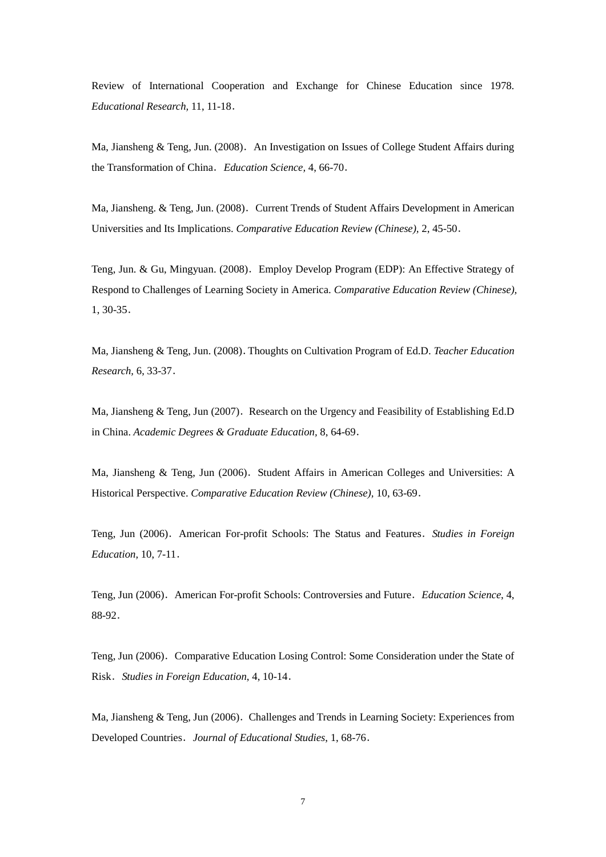Review of International Cooperation and Exchange for Chinese Education since 1978. *Educational Research,* 11, 11-18.

Ma, Jiansheng & Teng, Jun. (2008). An Investigation on Issues of College Student Affairs during the Transformation of China.*Education Science,* 4, 66-70.

Ma, Jiansheng. & Teng, Jun. (2008). Current Trends of Student Affairs Development in American Universities and Its Implications. *Comparative Education Review (Chinese),* 2, 45-50.

Teng, Jun. & Gu, Mingyuan. (2008).Employ Develop Program (EDP): An Effective Strategy of Respond to Challenges of Learning Society in America. *Comparative Education Review (Chinese),* 1, 30-35.

Ma, Jiansheng & Teng, Jun. (2008).Thoughts on Cultivation Program of Ed.D. *Teacher Education Research,* 6, 33-37.

Ma, Jiansheng & Teng, Jun (2007). Research on the Urgency and Feasibility of Establishing Ed.D in China. *Academic Degrees & Graduate Education,* 8, 64-69.

Ma, Jiansheng & Teng, Jun (2006). Student Affairs in American Colleges and Universities: A Historical Perspective. *Comparative Education Review (Chinese),* 10, 63-69.

Teng, Jun (2006).American For-profit Schools: The Status and Features.*Studies in Foreign Education,* 10, 7-11.

Teng, Jun (2006). American For-profit Schools: Controversies and Future. *Education Science*, 4, 88-92.

Teng, Jun (2006). Comparative Education Losing Control: Some Consideration under the State of Risk.*Studies in Foreign Education*, 4, 10-14.

Ma, Jiansheng & Teng, Jun (2006). Challenges and Trends in Learning Society: Experiences from Developed Countries.*Journal of Educational Studies*, 1, 68-76.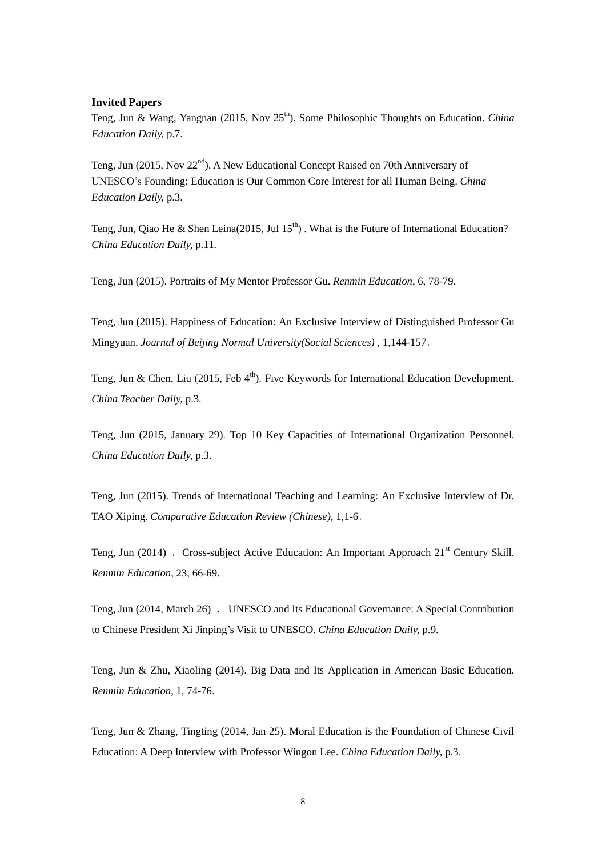#### **Invited Papers**

Teng, Jun & Wang, Yangnan (2015, Nov 25<sup>th</sup>). Some Philosophic Thoughts on Education. *China Education Daily,* p.7.

Teng, Jun (2015, Nov  $22<sup>nd</sup>$ ). A New Educational Concept Raised on 70th Anniversary of UNESCO's Founding: Education is Our Common Core Interest for all Human Being. *China Education Daily,* p.3.

Teng, Jun, Qiao He & Shen Leina(2015, Jul  $15<sup>th</sup>$ ). What is the Future of International Education? *China Education Daily,* p.11.

Teng, Jun (2015). Portraits of My Mentor Professor Gu. *Renmin Education*, 6, 78-79.

Teng, Jun (2015). Happiness of Education: An Exclusive Interview of Distinguished Professor Gu Mingyuan. *Journal of Beijing Normal University(Social Sciences)* , 1,144-157.

Teng, Jun & Chen, Liu (2015, Feb  $4<sup>th</sup>$ ). Five Keywords for International Education Development. *China Teacher Daily,* p.3.

Teng, Jun (2015, January 29). Top 10 Key Capacities of International Organization Personnel. *China Education Daily,* p.3.

Teng, Jun (2015). Trends of International Teaching and Learning: An Exclusive Interview of Dr. TAO Xiping. *Comparative Education Review (Chinese),* 1,1-6.

Teng, Jun (2014) . Cross-subject Active Education: An Important Approach 21<sup>st</sup> Century Skill. *Renmin Education*, 23, 66-69.

Teng, Jun (2014, March 26) . UNESCO and Its Educational Governance: A Special Contribution to Chinese President Xi Jinping's Visit to UNESCO. *China Education Daily,* p.9.

Teng, Jun & Zhu, Xiaoling (2014). Big Data and Its Application in American Basic Education. *Renmin Education*, 1, 74-76.

Teng, Jun & Zhang, Tingting (2014, Jan 25). Moral Education is the Foundation of Chinese Civil Education: A Deep Interview with Professor Wingon Lee. *China Education Daily,* p.3.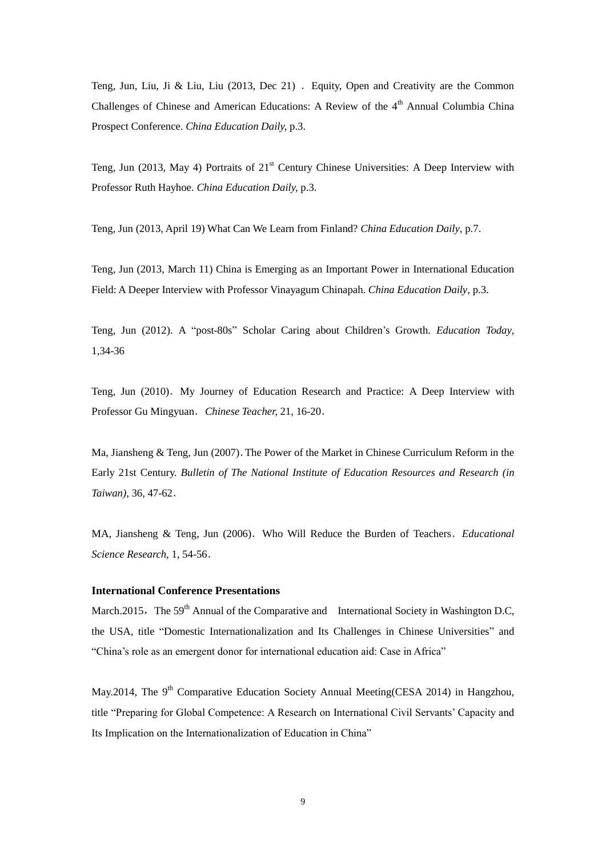Teng, Jun, Liu, Ji & Liu, Liu (2013, Dec 21) . Equity, Open and Creativity are the Common Challenges of Chinese and American Educations: A Review of the  $4<sup>th</sup>$  Annual Columbia China Prospect Conference. *China Education Daily,* p.3.

Teng, Jun (2013, May 4) Portraits of 21<sup>st</sup> Century Chinese Universities: A Deep Interview with Professor Ruth Hayhoe. *China Education Daily,* p.3.

Teng, Jun (2013, April 19) What Can We Learn from Finland? *China Education Daily*, p.7.

Teng, Jun (2013, March 11) China is Emerging as an Important Power in International Education Field: A Deeper Interview with Professor Vinayagum Chinapah. *China Education Daily*, p.3.

Teng, Jun (2012). A "post-80s" Scholar Caring about Children's Growth. *Education Today*, 1,34-36

Teng, Jun (2010). My Journey of Education Research and Practice: A Deep Interview with Professor Gu Mingyuan.*Chinese Teacher,* 21, 16-20.

Ma, Jiansheng & Teng, Jun (2007).The Power of the Market in Chinese Curriculum Reform in the Early 21st Century. *Bulletin of The National Institute of Education Resources and Research (in Taiwan)*, 36, 47-62.

MA, Jiansheng & Teng, Jun (2006). Who Will Reduce the Burden of Teachers. *Educational Science Research,* 1, 54-56.

#### **International Conference Presentations**

March.2015, The  $59<sup>th</sup>$  Annual of the Comparative and International Society in Washington D.C, the USA, title "Domestic Internationalization and Its Challenges in Chinese Universities" and "China's role as an emergent donor for international education aid: Case in Africa"

May.2014, The  $9<sup>th</sup>$  Comparative Education Society Annual Meeting(CESA 2014) in Hangzhou, title "Preparing for Global Competence: A Research on International Civil Servants' Capacity and Its Implication on the Internationalization of Education in China"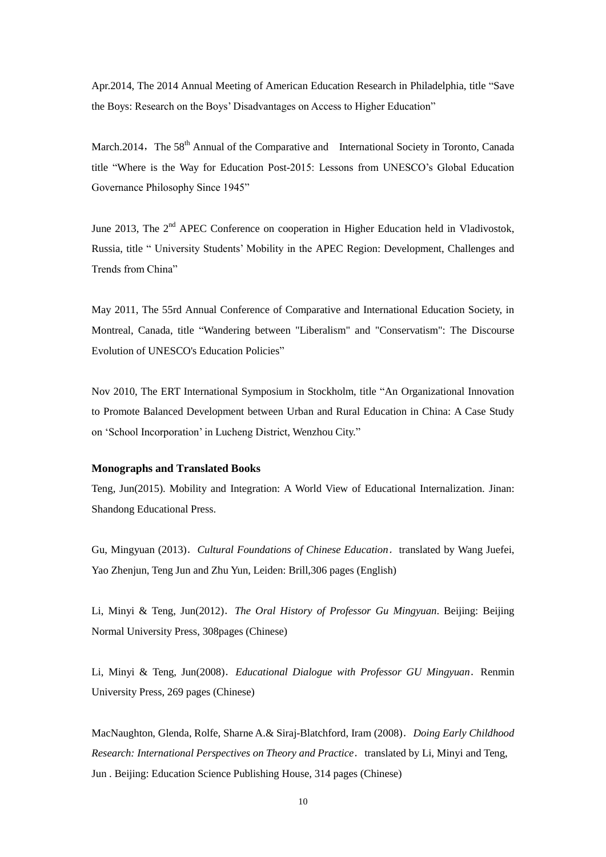Apr. 2014, The 2014 Annual Meeting of American Education Research in Philadelphia, title "Save" the Boys: Research on the Boys' Disadvantages on Access to Higher Education"

March.2014, The 58<sup>th</sup> Annual of the Comparative and International Society in Toronto, Canada title "Where is the Way for Education Post-2015: Lessons from UNESCO's Global Education Governance Philosophy Since 1945"

June 2013, The  $2<sup>nd</sup>$  APEC Conference on cooperation in Higher Education held in Vladivostok, Russia, title " University Students' Mobility in the APEC Region: Development, Challenges and Trends from China"

May 2011, The 55rd Annual Conference of Comparative and International Education Society, in Montreal, Canada, title "Wandering between "Liberalism" and "Conservatism": The Discourse Evolution of UNESCO's Education Policies"

Nov 2010, The ERT International Symposium in Stockholm, title "An Organizational Innovation to Promote Balanced Development between Urban and Rural Education in China: A Case Study on 'School Incorporation' in Lucheng District, Wenzhou City."

#### **Monographs and Translated Books**

Teng, Jun(2015). Mobility and Integration: A World View of Educational Internalization. Jinan: Shandong Educational Press.

Gu, Mingyuan (2013).*[Cultural Foundations of Chinese Education](http://www.brill.com/products/book/cultural-foundations-chinese-education)*.translated by Wang Juefei, Yao Zhenjun, Teng Jun and Zhu Yun, Leiden: Brill,306 pages (English)

Li, Minyi & Teng, Jun(2012).*The Oral History of Professor Gu Mingyuan*. Beijing: Beijing Normal University Press, 308pages (Chinese)

Li, Minyi & Teng, Jun(2008).*Educational Dialogue with Professor GU Mingyuan*.Renmin University Press, 269 pages (Chinese)

MacNaughton, Glenda, Rolfe, Sharne A.& Siraj-Blatchford, Iram (2008).*Doing Early Childhood Research: International Perspectives on Theory and Practice.* translated by Li, Minyi and Teng, Jun . Beijing: Education Science Publishing House, 314 pages (Chinese)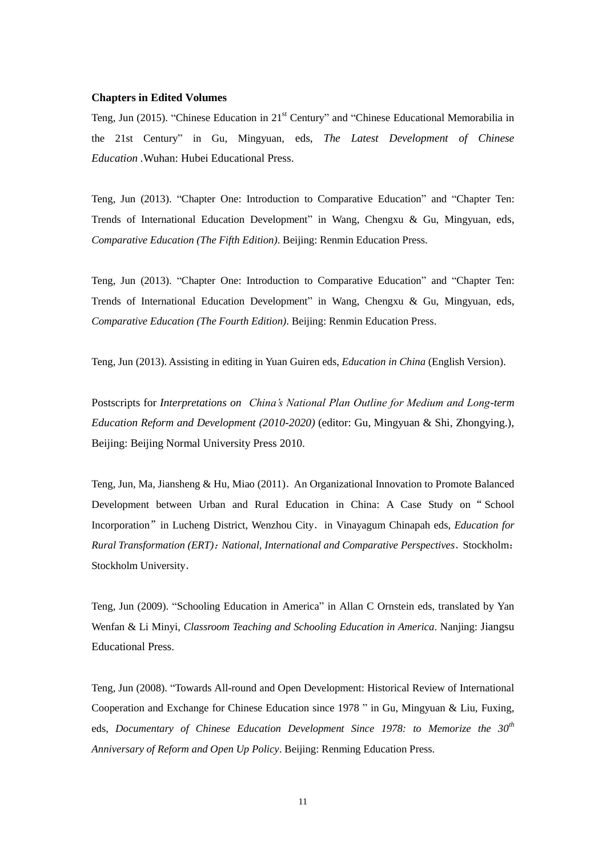#### **Chapters in Edited Volumes**

Teng, Jun (2015). "Chinese Education in  $21<sup>st</sup>$  Century" and "Chinese Educational Memorabilia in the 21st Century" in Gu, Mingyuan, eds, *The Latest Development of Chinese Education .*Wuhan: Hubei Educational Press.

Teng, Jun (2013). "Chapter One: Introduction to Comparative Education" and "Chapter Ten: Trends of International Education Development" in Wang, Chengxu & Gu, Mingyuan, eds, *Comparative Education (The Fifth Edition)*. Beijing: Renmin Education Press.

Teng, Jun (2013). "Chapter One: Introduction to Comparative Education" and "Chapter Ten: Trends of International Education Development" in Wang, Chengxu & Gu, Mingyuan, eds, *Comparative Education (The Fourth Edition)*. Beijing: Renmin Education Press.

Teng, Jun (2013). Assisting in editing in Yuan Guiren eds, *Education in China* (English Version).

Postscripts for *Interpretations on China's National Plan Outline for Medium and Long-term Education Reform and Development (2010-2020)* (editor: Gu, Mingyuan & Shi, Zhongying.), Beijing: Beijing Normal University Press 2010.

Teng, Jun, Ma, Jiansheng & Hu, Miao (2011). An Organizational Innovation to Promote Balanced Development between Urban and Rural Education in China: A Case Study on"School Incorporation"in Lucheng District, Wenzhou City.in Vinayagum Chinapah eds, *Education for Rural Transformation (ERT)*:*National, International and Comparative Perspectives*.Stockholm: Stockholm University.

Teng, Jun (2009). "Schooling Education in America" in Allan C Ornstein eds, translated by Yan Wenfan & Li Minyi, *Classroom Teaching and Schooling Education in America*. Nanjing: Jiangsu Educational Press.

Teng, Jun (2008). "Towards All-round and Open Development: Historical Review of International Cooperation and Exchange for Chinese Education since 1978  $\degree$  in Gu, Mingyuan & Liu, Fuxing, eds, *Documentary of Chinese Education Development Since 1978: to Memorize the 30th Anniversary of Reform and Open Up Policy*. Beijing: Renming Education Press.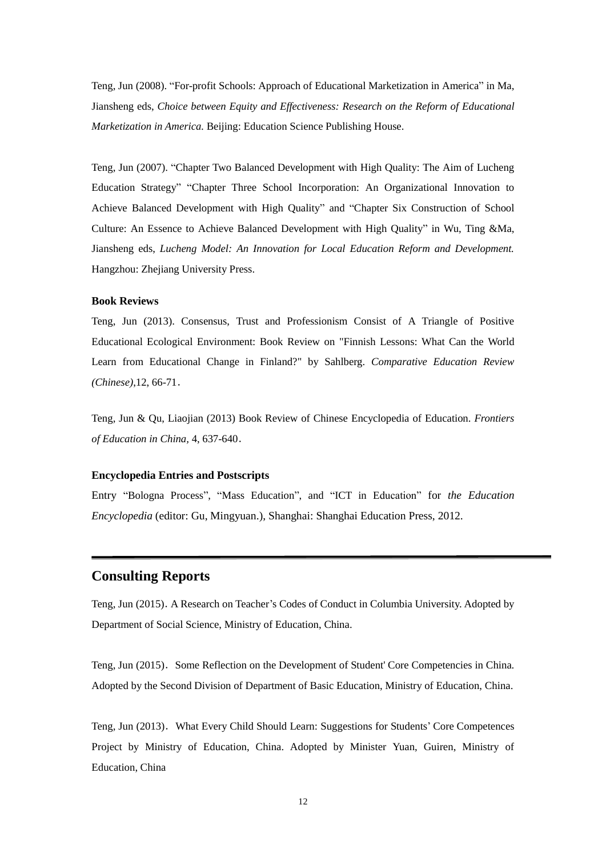Teng, Jun (2008). "For-profit Schools: Approach of Educational Marketization in America" in Ma, Jiansheng eds, *Choice between Equity and Effectiveness: Research on the Reform of Educational Marketization in America.* Beijing: Education Science Publishing House.

Teng, Jun (2007). "Chapter Two Balanced Development with High Quality: The Aim of Lucheng Education Strategy" "Chapter Three School Incorporation: An Organizational Innovation to Achieve Balanced Development with High Quality" and "Chapter Six Construction of School Culture: An Essence to Achieve Balanced Development with High Quality" in Wu, Ting &Ma, Jiansheng eds, *Lucheng Model: An Innovation for Local Education Reform and Development.*  Hangzhou: Zheiiang University Press.

#### **Book Reviews**

Teng, Jun (2013). Consensus, Trust and Professionism Consist of A Triangle of Positive Educational Ecological Environment: Book Review on "Finnish Lessons: What Can the World Learn from Educational Change in Finland?" by Sahlberg. *Comparative Education Review (Chinese)*,12, 66-71.

Teng, Jun & Qu, Liaojian (2013) Book Review of Chinese Encyclopedia of Education. *Frontiers of Education in China,* 4, 637-640.

#### **Encyclopedia Entries and Postscripts**

Entry "Bologna Process", "Mass Education", and "ICT in Education" for *the Education Encyclopedia* (editor: Gu, Mingyuan.), Shanghai: Shanghai Education Press, 2012.

### **Consulting Reports**

Teng, Jun (2015).A Research on Teacher's Codes of Conduct in Columbia University. Adopted by Department of Social Science, Ministry of Education, China.

Teng, Jun (2015). Some Reflection on the Development of Student' Core Competencies in China. Adopted by the Second Division of Department of Basic Education, Ministry of Education, China.

Teng, Jun (2013).What Every Child Should Learn: Suggestions for Students' Core Competences Project by Ministry of Education, China. Adopted by Minister Yuan, Guiren, Ministry of Education, China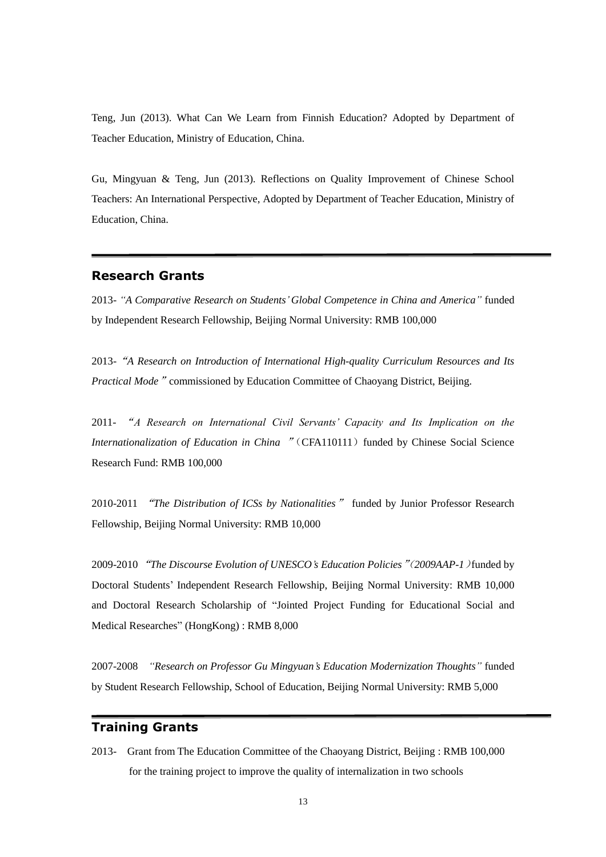Teng, Jun (2013). What Can We Learn from Finnish Education? Adopted by Department of Teacher Education, Ministry of Education, China.

Gu, Mingyuan & Teng, Jun (2013). Reflections on Quality Improvement of Chinese School Teachers: An International Perspective, Adopted by Department of Teacher Education, Ministry of Education, China.

### **Research Grants**

2013- *"A Comparative Research on Students' Global Competence in China and America"* funded by Independent Research Fellowship, Beijing Normal University: RMB 100,000

2013-"*A Research on Introduction of International High-quality Curriculum Resources and Its Practical Mode*" commissioned by Education Committee of Chaoyang District, Beijing.

2011- "*A Research on International Civil Servants' Capacity and Its Implication on the Internationalization of Education in China* " (CFA110111) funded by Chinese Social Science Research Fund: RMB 100,000

2010-2011 "*The Distribution of ICSs by Nationalities*" funded by Junior Professor Research Fellowship, Beijing Normal University: RMB 10,000

2009-2010"*The Discourse Evolution of UNESCO's Education Policies*"(*2009AAP-1*)funded by Doctoral Students' Independent Research Fellowship, Beijing Normal University: RMB 10,000 and Doctoral Research Scholarship of "Jointed Project Funding for Educational Social and Medical Researches" (HongKong) : RMB 8,000

2007-2008 *"Research on Professor Gu Mingyuan's Education Modernization Thoughts"* funded by Student Research Fellowship, School of Education, Beijing Normal University: RMB 5,000

### **Training Grants**

2013- Grant from The Education Committee of the Chaoyang District, Beijing : RMB 100,000 for the training project to improve the quality of internalization in two schools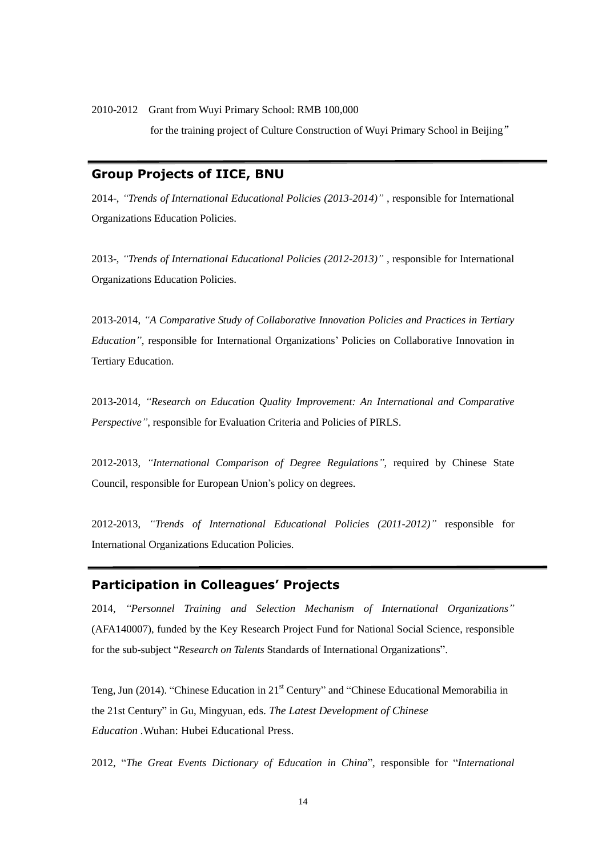2010-2012 Grant from Wuyi Primary School: RMB 100,000

for the training project of Culture Construction of Wuyi Primary School in Beijing"

### **Group Projects of IICE, BNU**

2014-, *"Trends of International Educational Policies (2013-2014)"* , responsible for International Organizations Education Policies.

2013-, *"Trends of International Educational Policies (2012-2013)"* , responsible for International Organizations Education Policies.

2013-2014, *"A Comparative Study of Collaborative Innovation Policies and Practices in Tertiary Education"*, responsible for International Organizations' Policies on Collaborative Innovation in Tertiary Education.

2013-2014, *"Research on Education Quality Improvement: An International and Comparative Perspective"*, responsible for Evaluation Criteria and Policies of PIRLS.

2012-2013, *"International Comparison of Degree Regulations",* required by Chinese State Council, responsible for European Union's policy on degrees.

2012-2013, *"Trends of International Educational Policies (2011-2012)"* responsible for International Organizations Education Policies.

### **Participation in Colleagues' Projects**

2014, *"Personnel Training and Selection Mechanism of International Organizations"* (AFA140007), funded by the Key Research Project Fund for National Social Science, responsible for the sub-subject "Research on Talents Standards of International Organizations".

Teng, Jun (2014). "Chinese Education in  $21<sup>st</sup>$  Century" and "Chinese Educational Memorabilia in the 21st Century" in Gu, Mingyuan, eds. *The Latest Development of Chinese Education .*Wuhan: Hubei Educational Press.

2012, "The Great Events Dictionary of Education in China", responsible for "International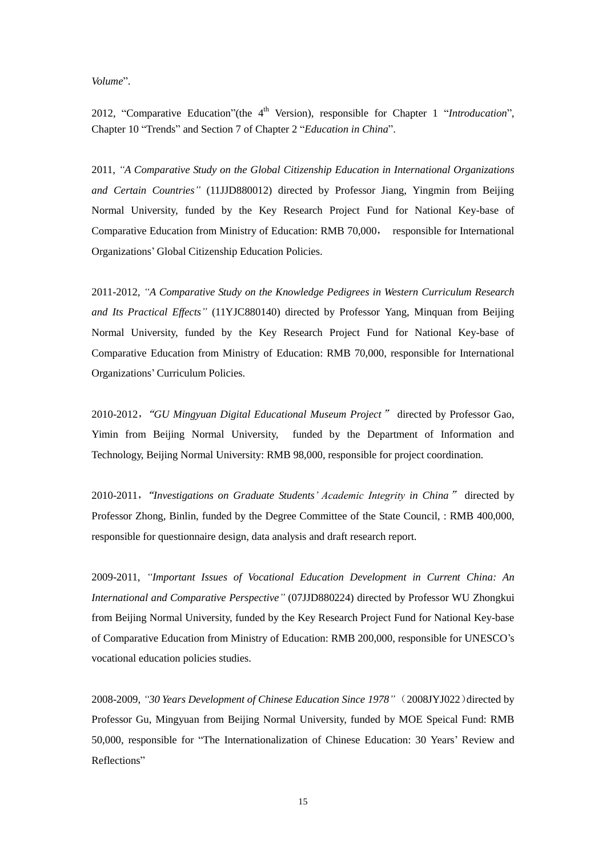#### *Volume*‖.

2012, "Comparative Education"(the 4<sup>th</sup> Version), responsible for Chapter 1 "Introducation", Chapter 10 "Trends" and Section 7 of Chapter 2 "*Education in China*".

2011, *"A Comparative Study on the Global Citizenship Education in International Organizations and Certain Countries"* (11JJD880012) directed by Professor Jiang, Yingmin from Beijing Normal University, funded by the Key Research Project Fund for National Key-base of Comparative Education from Ministry of Education: RMB 70,000, responsible for International Organizations' Global Citizenship Education Policies.

2011-2012, *"A Comparative Study on the Knowledge Pedigrees in Western Curriculum Research and Its Practical Effects"* (11YJC880140) directed by Professor Yang, Minquan from Beijing Normal University, funded by the Key Research Project Fund for National Key-base of Comparative Education from Ministry of Education: RMB 70,000, responsible for International Organizations' Curriculum Policies.

2010-2012,"*GU Mingyuan Digital Educational Museum Project*" directed by Professor Gao, Yimin from Beijing Normal University, funded by the Department of Information and Technology, Beijing Normal University: RMB 98,000, responsible for project coordination.

2010-2011,"*Investigations on Graduate Students' Academic Integrity in China*" directed by Professor Zhong, Binlin, funded by the Degree Committee of the State Council, : RMB 400,000, responsible for questionnaire design, data analysis and draft research report.

2009-2011, *"Important Issues of Vocational Education Development in Current China: An International and Comparative Perspective"* (07JJD880224) directed by Professor WU Zhongkui from Beijing Normal University, funded by the Key Research Project Fund for National Key-base of Comparative Education from Ministry of Education: RMB 200,000, responsible for UNESCO's vocational education policies studies.

2008-2009, *"30 Years Development of Chinese Education Since 1978"*(2008JYJ022)directed by Professor Gu, Mingyuan from Beijing Normal University, funded by MOE Speical Fund: RMB 50,000, responsible for "The Internationalization of Chinese Education: 30 Years' Review and Reflections"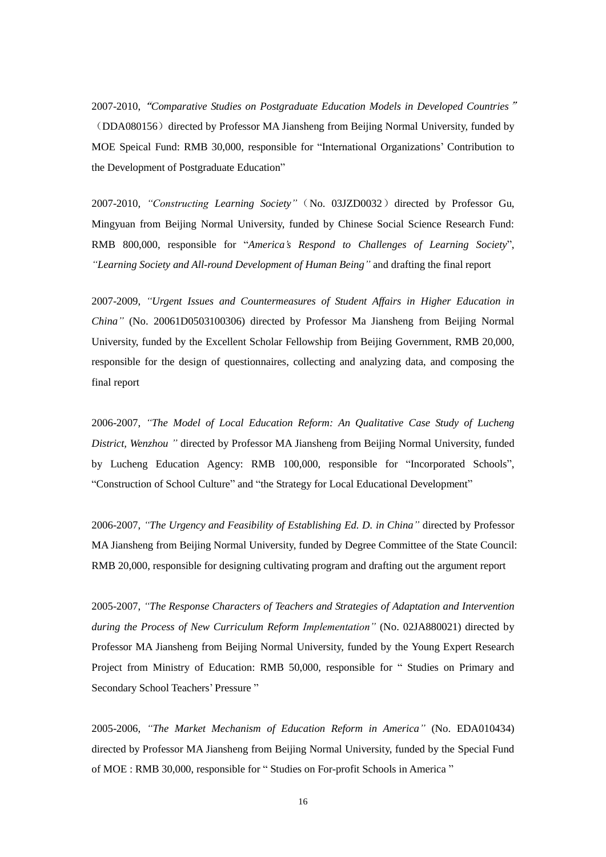2007-2010,"*Comparative Studies on Postgraduate Education Models in Developed Countries*" (DDA080156) directed by Professor MA Jiansheng from Beijing Normal University, funded by MOE Speical Fund: RMB 30,000, responsible for "International Organizations' Contribution to the Development of Postgraduate Education"

2007-2010, "Constructing *Learning Society"* (No. 03JZD0032) directed by Professor Gu, Mingyuan from Beijing Normal University, funded by Chinese Social Science Research Fund: RMB 800,000, responsible for "America's Respond to Challenges of Learning Society", *"Learning Society and All-round Development of Human Being"* and drafting the final report

2007-2009, *"Urgent Issues and Countermeasures of Student Affairs in Higher Education in China"* (No. 20061D0503100306) directed by Professor Ma Jiansheng from Beijing Normal University, funded by the Excellent Scholar Fellowship from Beijing Government, RMB 20,000, responsible for the design of questionnaires, collecting and analyzing data, and composing the final report

2006-2007, *"The Model of Local Education Reform: An Qualitative Case Study of Lucheng District, Wenzhou "* directed by Professor MA Jiansheng from Beijing Normal University, funded by Lucheng Education Agency: RMB 100,000, responsible for "Incorporated Schools". "Construction of School Culture" and "the Strategy for Local Educational Development"

2006-2007, *"The Urgency and Feasibility of Establishing Ed. D. in China"* directed by Professor MA Jiansheng from Beijing Normal University, funded by Degree Committee of the State Council: RMB 20,000, responsible for designing cultivating program and drafting out the argument report

2005-2007, *"The Response Characters of Teachers and Strategies of Adaptation and Intervention during the Process of New Curriculum Reform Implementation"* (No. 02JA880021) directed by Professor MA Jiansheng from Beijing Normal University, funded by the Young Expert Research Project from Ministry of Education: RMB 50,000, responsible for "Studies on Primary and Secondary School Teachers' Pressure "

2005-2006, *"The Market Mechanism of Education Reform in America"* (No. EDA010434) directed by Professor MA Jiansheng from Beijing Normal University, funded by the Special Fund of MOE : RMB 30,000, responsible for "Studies on For-profit Schools in America"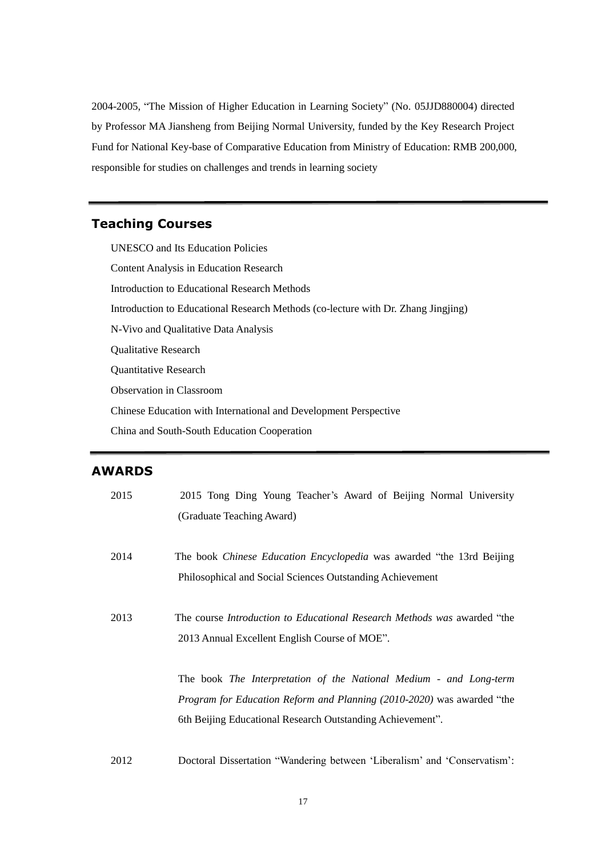2004-2005, "The Mission of Higher Education in Learning Society" (No. 05JJD880004) directed by Professor MA Jiansheng from Beijing Normal University, funded by the Key Research Project Fund for National Key-base of Comparative Education from Ministry of Education: RMB 200,000, responsible for studies on challenges and trends in learning society

### **Teaching Courses**

UNESCO and Its Education Policies Content Analysis in Education Research Introduction to Educational Research Methods Introduction to Educational Research Methods (co-lecture with Dr. Zhang Jingjing) N-Vivo and Qualitative Data Analysis Qualitative Research Quantitative Research Observation in Classroom Chinese Education with International and Development Perspective China and South-South Education Cooperation

### **AWARDS**

| 2015 | 2015 Tong Ding Young Teacher's Award of Beijing Normal University               |
|------|---------------------------------------------------------------------------------|
|      | (Graduate Teaching Award)                                                       |
|      |                                                                                 |
| 2014 | The book <i>Chinese Education Encyclopedia</i> was awarded "the 13rd Beijing"   |
|      | Philosophical and Social Sciences Outstanding Achievement                       |
|      |                                                                                 |
| 2013 | The course <i>Introduction to Educational Research Methods was</i> awarded "the |
|      | 2013 Annual Excellent English Course of MOE".                                   |
|      |                                                                                 |
|      | The book The Interpretation of the National Medium - and Long-term              |
|      | Program for Education Reform and Planning (2010-2020) was awarded "the          |
|      | 6th Beijing Educational Research Outstanding Achievement".                      |
|      |                                                                                 |
| 2012 | Doctoral Dissertation "Wandering between 'Liberalism' and 'Conservatism':       |